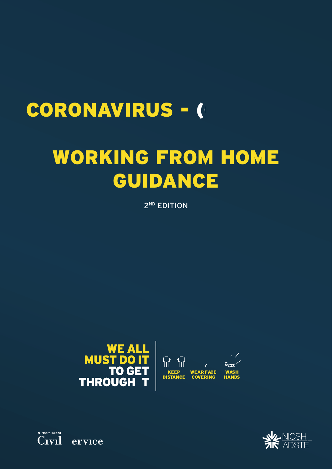# CORONAVIRUS - (

# WORKING FROM HOME GUIDANCE

2<sup>ND</sup> EDITION





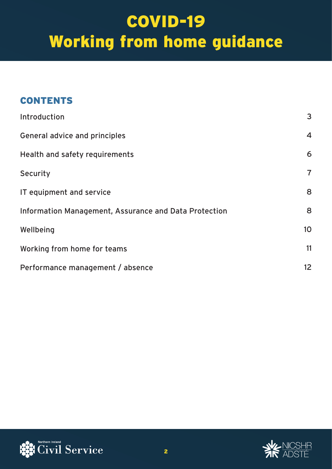### **CONTENTS**

| Introduction                                          | 3               |
|-------------------------------------------------------|-----------------|
| <b>General advice and principles</b>                  | 4               |
| Health and safety requirements                        | 6               |
| Security                                              | $\overline{7}$  |
| IT equipment and service                              | 8               |
| Information Management, Assurance and Data Protection | 8               |
| Wellbeing                                             | 10 <sup>°</sup> |
| Working from home for teams                           | 11              |
| Performance management / absence                      | 12 <sup>2</sup> |



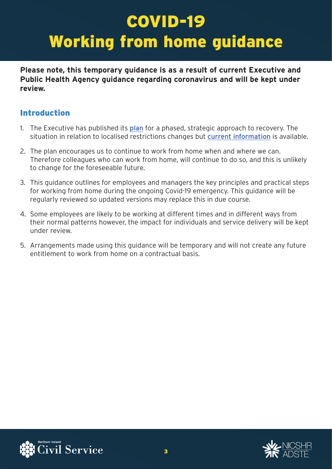**Please note, this temporary guidance is as a result of current Executive and Public Health Agency guidance regarding coronavirus and will be kept under review.** 

#### Introduction

- 1. The Executive has published its [plan](https://www.executiveoffice-ni.gov.uk/publications/coronavirus-executive-approach-decision-making) for a phased, strategic approach to recovery. The situation in relation to localised restrictions changes but [current information](https://www.publichealth.hscni.net/covid-19-coronavirus) is available.
- 2. The plan encourages us to continue to work from home when and where we can. Therefore colleagues who can work from home, will continue to do so, and this is unlikely to change for the foreseeable future.
- 3. This guidance outlines for employees and managers the key principles and practical steps for working from home during the ongoing Covid-19 emergency. This guidance will be regularly reviewed so updated versions may replace this in due course.
- 4. Some employees are likely to be working at different times and in different ways from their normal patterns however, the impact for individuals and service delivery will be kept under review.
- 5. Arrangements made using this guidance will be temporary and will not create any future entitlement to work from home on a contractual basis.



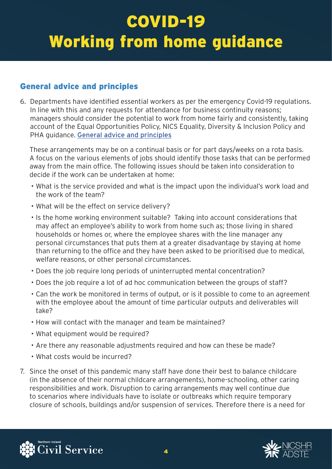#### General advice and principles

6. Departments have identified essential workers as per the emergency Covid-19 regulations. In line with this and any requests for attendance for business continuity reasons; managers should consider the potential to work from home fairly and consistently, taking account of the Equal Opportunities Policy, NICS Equality, Diversity & Inclusion Policy and PHA guidance. [General advice and principles](https://www.publichealth.hscni.net/covid-19-coronavirus) 

These arrangements may be on a continual basis or for part days/weeks on a rota basis. A focus on the various elements of jobs should identify those tasks that can be performed away from the main office. The following issues should be taken into consideration to decide if the work can be undertaken at home:

- What is the service provided and what is the impact upon the individual's work load and the work of the team?
- What will be the effect on service delivery?
- Is the home working environment suitable? Taking into account considerations that may affect an employee's ability to work from home such as; those living in shared households or homes or, where the employee shares with the line manager any personal circumstances that puts them at a greater disadvantage by staying at home than returning to the office and they have been asked to be prioritised due to medical, welfare reasons, or other personal circumstances.
- Does the job require long periods of uninterrupted mental concentration?
- Does the job require a lot of ad hoc communication between the groups of staff?
- Can the work be monitored in terms of output, or is it possible to come to an agreement with the employee about the amount of time particular outputs and deliverables will take?
- How will contact with the manager and team be maintained?
- What equipment would be required?
- Are there any reasonable adjustments required and how can these be made?
- What costs would be incurred?
- 7. Since the onset of this pandemic many staff have done their best to balance childcare (in the absence of their normal childcare arrangements), home-schooling, other caring responsibilities and work. Disruption to caring arrangements may well continue due to scenarios where individuals have to isolate or outbreaks which require temporary closure of schools, buildings and/or suspension of services. Therefore there is a need for



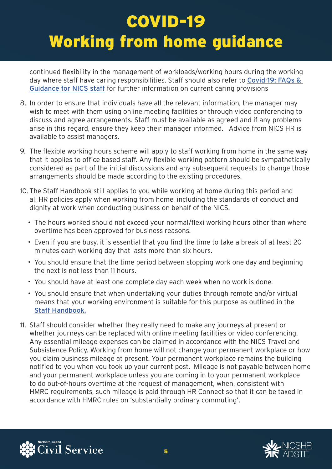continued flexibility in the management of workloads/working hours during the working day where staff have caring responsibilities. Staff should also refer to Covid-19: FAQs & [Guidance for NICS staff](https://www.finance-ni.gov.uk/articles/faqs-vulnerable-people-and-care-dependents) for further information on current caring provisions

- 8. In order to ensure that individuals have all the relevant information, the manager may wish to meet with them using online meeting facilities or through video conferencing to discuss and agree arrangements. Staff must be available as agreed and if any problems arise in this regard, ensure they keep their manager informed. Advice from NICS HR is available to assist managers.
- 9. The flexible working hours scheme will apply to staff working from home in the same way that it applies to office based staff. Any flexible working pattern should be sympathetically considered as part of the initial discussions and any subsequent requests to change those arrangements should be made according to the existing procedures.
- 10. The Staff Handbook still applies to you while working at home during this period and all HR policies apply when working from home, including the standards of conduct and dignity at work when conducting business on behalf of the NICS.
	- The hours worked should not exceed your normal/flexi working hours other than where overtime has been approved for business reasons.
	- Even if you are busy, it is essential that you find the time to take a break of at least 20 minutes each working day that lasts more than six hours.
	- You should ensure that the time period between stopping work one day and beginning the next is not less than 11 hours.
	- You should have at least one complete day each week when no work is done.
	- You should ensure that when undertaking your duties through remote and/or virtual means that your working environment is suitable for this purpose as outlined in the [Staff Handbook.](https://nics.service-now.com/kb?id=kb_article_view&sys_kb_id=8068b570dbb5630030352dcb0b961950)
- 11. Staff should consider whether they really need to make any journeys at present or whether journeys can be replaced with online meeting facilities or video conferencing. Any essential mileage expenses can be claimed in accordance with the NICS Travel and Subsistence Policy. Working from home will not change your permanent workplace or how you claim business mileage at present. Your permanent workplace remains the building notified to you when you took up your current post. Mileage is not payable between home and your permanent workplace unless you are coming in to your permanent workplace to do out-of-hours overtime at the request of management, when, consistent with HMRC requirements, such mileage is paid through HR Connect so that it can be taxed in accordance with HMRC rules on 'substantially ordinary commuting'.



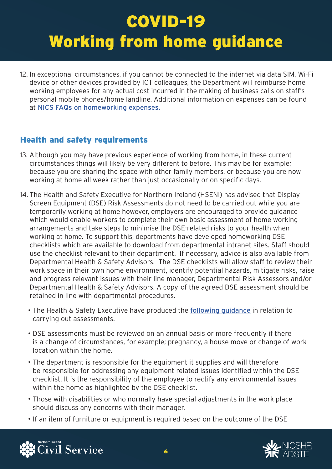12. In exceptional circumstances, if you cannot be connected to the internet via data SIM, Wi-Fi device or other devices provided by ICT colleagues, the Department will reimburse home working employees for any actual cost incurred in the making of business calls on staff's personal mobile phones/home landline. Additional information on expenses can be found at [NICS FAQs on homeworking expenses.](https://www.finance-ni.gov.uk/articles/faqs-home-working-expenses)

#### Health and safety requirements

- 13. Although you may have previous experience of working from home, in these current circumstances things will likely be very different to before. This may be for example; because you are sharing the space with other family members, or because you are now working at home all week rather than just occasionally or on specific days.
- 14. The Health and Safety Executive for Northern Ireland (HSENI) has advised that Display Screen Equipment (DSE) Risk Assessments do not need to be carried out while you are temporarily working at home however, employers are encouraged to provide guidance which would enable workers to complete their own basic assessment of home working arrangements and take steps to minimise the DSE-related risks to your health when working at home. To support this, departments have developed homeworking DSE checklists which are available to download from departmental intranet sites. Staff should use the checklist relevant to their department. If necessary, advice is also available from Departmental Health & Safety Advisors. The DSE checklists will allow staff to review their work space in their own home environment, identify potential hazards, mitigate risks, raise and progress relevant issues with their line manager, Departmental Risk Assessors and/or Departmental Health & Safety Advisors. A copy of the agreed DSE assessment should be retained in line with departmental procedures.
	- The Health & Safety Executive have produced the following guidance in relation to carrying out assessments.
	- DSE assessments must be reviewed on an annual basis or more frequently if there is a change of circumstances, for example; pregnancy, a house move or change of work location within the home.
	- The department is responsible for the equipment it supplies and will therefore be responsible for addressing any equipment related issues identified within the DSE checklist. It is the responsibility of the employee to rectify any environmental issues within the home as highlighted by the DSE checklist.
	- • Those with disabilities or who normally have special adjustments in the work place should discuss any concerns with their manager.
	- If an item of furniture or equipment is required based on the outcome of the DSE



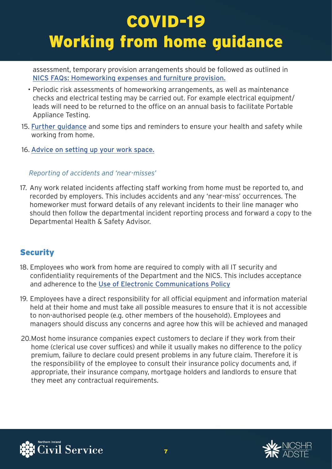assessment, temporary provision arrangements should be followed as outlined in [NICS FAQs: Homeworking expenses and furniture provision.](https://www.finance-ni.gov.uk/articles/faqs-home-working-expenses-and-furniture-provision) 

- checks and electrical testing may be carried out. For example electrical equipment/ • Periodic risk assessments of homeworking arrangements, as well as maintenance leads will need to be returned to the office on an annual basis to facilitate Portable Appliance Testing.
- 15. [Further guidance](https://www.finance-ni.gov.uk/articles/working-home-health-safety-advice) and some tips and reminders to ensure your health and safety while working from home.
- 16. [Advice on setting up your work space.](https://www.finance-ni.gov.uk/articles/working-home-health-safety-advice)

#### *Reporting of accidents and 'near-misses'*

17. Any work related incidents affecting staff working from home must be reported to, and recorded by employers. This includes accidents and any 'near-miss' occurrences. The homeworker must forward details of any relevant incidents to their line manager who should then follow the departmental incident reporting process and forward a copy to the Departmental Health & Safety Advisor.

#### **Security**

- 18. Employees who work from home are required to comply with all IT security and confidentiality requirements of the Department and the NICS. This includes acceptance and adherence to the [Use of Electronic Communications Policy](https://nics.service-now.com/kb?id=kb_article_view&sys_kb_id=cd5d86d7db6a6f0030352dcb0b961923&table=kb_knowledge)
- 19. Employees have a direct responsibility for all official equipment and information material held at their home and must take all possible measures to ensure that it is not accessible to non-authorised people (e.g. other members of the household). Employees and managers should discuss any concerns and agree how this will be achieved and managed
- 20.Most home insurance companies expect customers to declare if they work from their home (clerical use cover suffices) and while it usually makes no difference to the policy premium, failure to declare could present problems in any future claim. Therefore it is the responsibility of the employee to consult their insurance policy documents and, if appropriate, their insurance company, mortgage holders and landlords to ensure that they meet any contractual requirements.



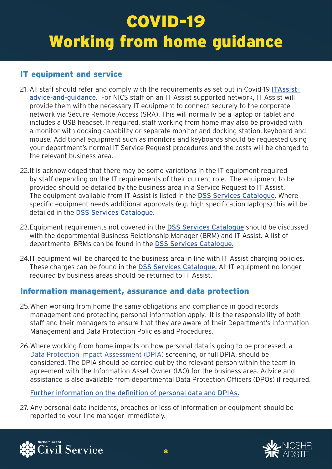#### IT equipment and service

- 21. All staff should refer and comply with the requirements as set out in Covid-19 [ITAssist](https://www.finance-ni.gov.uk/articles/covid-19-itassist-advice-and-guidance)[advice-and-guidance.](https://www.finance-ni.gov.uk/articles/covid-19-itassist-advice-and-guidance) For NICS staff on an IT Assist supported network, IT Assist will provide them with the necessary IT equipment to connect securely to the corporate network via Secure Remote Access (SRA). This will normally be a laptop or tablet and includes a USB headset. If required, staff working from home may also be provided with a monitor with docking capability or separate monitor and docking station, keyboard and mouse. Additional equipment such as monitors and keyboards should be requested using your department's normal IT Service Request procedures and the costs will be charged to the relevant business area.
- 22.It is acknowledged that there may be some variations in the IT equipment required by staff depending on the IT requirements of their current role. The equipment to be provided should be detailed by the business area in a Service Request to IT Assist. The equipment available from IT Assist is listed in the [DSS Services Catalogue](http://itassist.intranet.nigov.net/our-services). Where specific equipment needs additional approvals (e.g. high specification laptops) this will be detailed in the [DSS Services Catalogue.](http://itassist.intranet.nigov.net/our-services)
- 23. Equipment requirements not covered in the [DSS Services Catalogue](http://itassist.intranet.nigov.net/our-services) should be discussed with the departmental Business Relationship Manager (BRM) and IT Assist. A list of departmental BRMs can be found in the [DSS Services Catalogue.](http://itassist.intranet.nigov.net/our-services)
- 24.IT equipment will be charged to the business area in line with IT Assist charging policies. These charges can be found in the [DSS Services Catalogue.](http://itassist.intranet.nigov.net/our-services) All IT equipment no longer required by business areas should be returned to IT Assist.

#### Information management, assurance and data protection

- 25.When working from home the same obligations and compliance in good records management and protecting personal information apply. It is the responsibility of both staff and their managers to ensure that they are aware of their Department's Information Management and Data Protection Policies and Procedures.
- 26.Where working from home impacts on how personal data is going to be processed, a [Data Protection Impact Assessment \(DPIA\)](http://nics.intranet.nigov.net/finance/documents/dof-data-protection-impact-assessment-dpia-screening-exercise) screening, or full DPIA, should be considered. The DPIA should be carried out by the relevant person within the team in agreement with the Information Asset Owner (IAO) for the business area. Advice and assistance is also available from departmental Data Protection Officers (DPOs) if required.

[Further information on the definition of personal data and DPIAs.](http://nics.intranet.nigov.net/staff-services/nicsmi/about-data-protection) 

27. Any personal data incidents, breaches or loss of information or equipment should be reported to your line manager immediately.



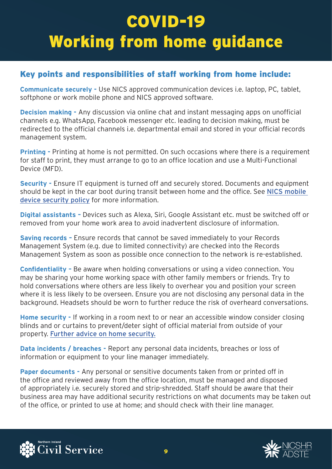#### Key points and responsibilities of staff working from home include:

**Communicate securely -** Use NICS approved communication devices i.e. laptop, PC, tablet, softphone or work mobile phone and NICS approved software.

**Decision making -** Any discussion via online chat and instant messaging apps on unofficial channels e.g. WhatsApp, Facebook messenger etc. leading to decision making, must be redirected to the official channels i.e. departmental email and stored in your official records management system.

**Printing -** Printing at home is not permitted. On such occasions where there is a requirement for staff to print, they must arrange to go to an office location and use a Multi-Functional Device (MFD).

**Security - Ensure IT equipment is turned off and securely stored. Documents and equipment** should be kept in the car boot during transit between home and the office. See [NICS mobile](http://nics.intranet.nigov.net/nics/documents/nics-mobile-device-security-policy)  [device security policy](http://nics.intranet.nigov.net/nics/documents/nics-mobile-device-security-policy) for more information.

**Digital assistants –** Devices such as Alexa, Siri, Google Assistant etc. must be switched off or removed from your home work area to avoid inadvertent disclosure of information.

**Saving records –** Ensure records that cannot be saved immediately to your Records Management System (e.g. due to limited connectivity) are checked into the Records Management System as soon as possible once connection to the network is re-established.

**Confidentiality –** Be aware when holding conversations or using a video connection. You may be sharing your home working space with other family members or friends. Try to hold conversations where others are less likely to overhear you and position your screen where it is less likely to be overseen. Ensure you are not disclosing any personal data in the background. Headsets should be worn to further reduce the risk of overheard conversations.

**Home security -** If working in a room next to or near an accessible window consider closing blinds and or curtains to prevent/deter sight of official material from outside of your property. [Further advice on home security.](https://www.psni.police.uk/advice_information/protecting-your-home/)

**Data incidents / breaches - Report any personal data incidents, breaches or loss of** information or equipment to your line manager immediately.

**Paper documents -** Any personal or sensitive documents taken from or printed off in the office and reviewed away from the office location, must be managed and disposed of appropriately i.e. securely stored and strip-shredded. Staff should be aware that their business area may have additional security restrictions on what documents may be taken out of the office, or printed to use at home; and should check with their line manager.



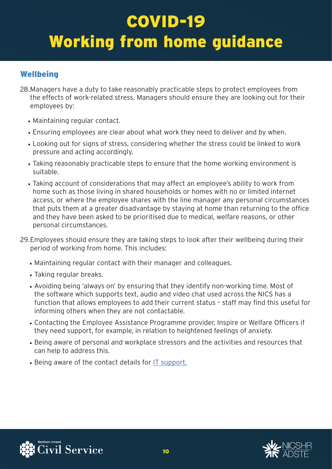#### **Wellbeing**

- 28.Managers have a duty to take reasonably practicable steps to protect employees from the effects of work-related stress. Managers should ensure they are looking out for their employees by:
	- Maintaining regular contact.
	- Ensuring employees are clear about what work they need to deliver and by when.
	- Looking out for signs of stress, considering whether the stress could be linked to work pressure and acting accordingly.
	- Taking reasonably practicable steps to ensure that the home working environment is suitable.
	- Taking account of considerations that may affect an employee's ability to work from home such as those living in shared households or homes with no or limited internet access, or where the employee shares with the line manager any personal circumstances that puts them at a greater disadvantage by staying at home than returning to the office and they have been asked to be prioritised due to medical, welfare reasons, or other personal circumstances.
- 29.Employees should ensure they are taking steps to look after their wellbeing during their period of working from home. This includes:
	- Maintaining regular contact with their manager and colleagues.
	- Taking regular breaks.
	- Avoiding being 'always on' by ensuring that they identify non-working time. Most of the software which supports text, audio and video chat used across the NICS has a function that allows employees to add their current status – staff may find this useful for informing others when they are not contactable.
	- Contacting the Employee Assistance Programme provider, Inspire or Welfare Officers if they need support, for example, in relation to heightened feelings of anxiety.
	- Being aware of personal and workplace stressors and the activities and resources that can help to address this.
	- Being aware of the contact details for [IT support.](http://itassist.intranet.nigov.net/)



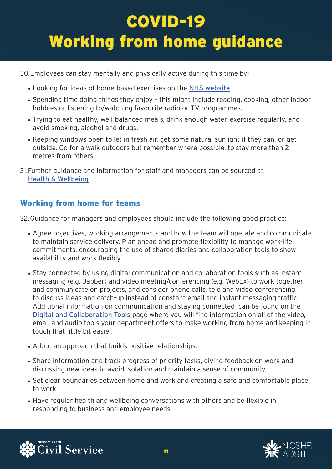30.Employees can stay mentally and physically active during this time by:

- Looking for ideas of home-based exercises on the [NHS website](https://www.nhs.uk/live-well/exercise/easy-low-impact-exercises/)
- Spending time doing things they enjoy this might include reading, cooking, other indoor hobbies or listening to/watching favourite radio or TV programmes.
- Trying to eat healthy, well-balanced meals, drink enough water, exercise regularly, and avoid smoking, alcohol and drugs.
- Keeping windows open to let in fresh air, get some natural sunlight if they can, or get outside. Go for a walk outdoors but remember where possible, to stay more than 2 metres from others.
- 31.Further guidance and information for staff and managers can be sourced at [Health & Wellbeing](https://www.nhs.uk/live-well/exercise/easy-low-impact-exercises/)

#### Working from home for teams

32.Guidance for managers and employees should include the following good practice:

- Agree objectives, working arrangements and how the team will operate and communicate to maintain service delivery. Plan ahead and promote flexibility to manage work-life commitments, encouraging the use of shared diaries and collaboration tools to show availability and work flexibly.
- Stay connected by using digital communication and collaboration tools such as instant messaging (e.g. Jabber) and video meeting/conferencing (e.g. WebEx) to work together and communicate on projects, and consider phone calls, tele and video conferencing to discuss ideas and catch-up instead of constant email and instant messaging traffic. Additional information on communication and staying connected can be found on the [Digital and Collaboration Tools](http://nics.intranet.nigov.net/nics/news/departmental-collaboration-tools-working-home) page where you will find information on all of the video, email and audio tools your department offers to make working from home and keeping in touch that little bit easier.
- Adopt an approach that builds positive relationships.
- Share information and track progress of priority tasks, giving feedback on work and discussing new ideas to avoid isolation and maintain a sense of community.
- Set clear boundaries between home and work and creating a safe and comfortable place to work.
- Have regular health and wellbeing conversations with others and be flexible in responding to business and employee needs.